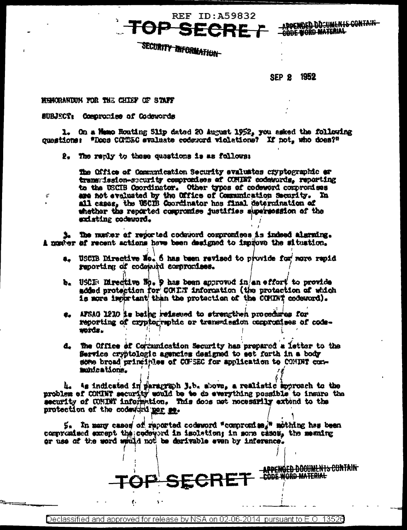-A**PPENDED DOSUMENTS GONTA:K-**<br>-<del>GODE WORD MATERIAL</del>

## SECURITY INFORMATION

**REF ID: A59832** 

ECRE

### SEP 2 1952

#### HENCRANDON FOR THE CHIEF OF STAFF

#### SUBJECT: Compromise of Codewords

 $\epsilon'$ 

1. On a Mamo Houting Slip dated 20 August 1952, you asked the following questione: \*Does CGE56 avaluate coderord violetions? If not, who does?"

2. The reply to these questions is as follows:

The Office of Communication Security evaluates cryptographic er transpission-security compresions of COMINT codewords, reporting to the USCIB Coordinator. Other types of codeword compromises all cases, the USCIB Coordinator has final determination of whether the reported compromise justifies appermention of the anisting codmond.

3. The number of redorted codmord compromises is indeed algraing. A number of recent actions howe been designed to improve the situation.

- a. USCIB Directive No. 6 has been revised to provide for more rapid reporting of codesurd compromises.
- $b_{\alpha}$  USCE: Directive No. 9 has been approved in/an effort to provide added protection for CONIN information (the protection of which is more important than the protection of the CCHINT codeword).
- e. AFSAG 1210 is being reisewed to strengthen procedures for reporting of cryptographic or transmission compromises of codewords.
- d. The Office of Contamication Security has prepared a letter to the Service cryptologic agencies designed to set forth in a body some broad principles of COFSEC for application to COMINT communications.

4. As indicated in paragraph 3.b. above, a realistic sporoach to the problem of COMINT security would be to do everything possible to insure the security of COMINT information. This does not necessitly extend to the protection of the codeword por se.

 $5<sub>n</sub>$  In many cases of reported codsword "compromise," mothing has been compromised except the codeword in isolation; in some cases, the meaning or use of the word would not be derivable even by inference.

**OP SECRE** 

<del>- Appenged Doouments contain -</del><br>- - <del>- Code Word Material -</del>